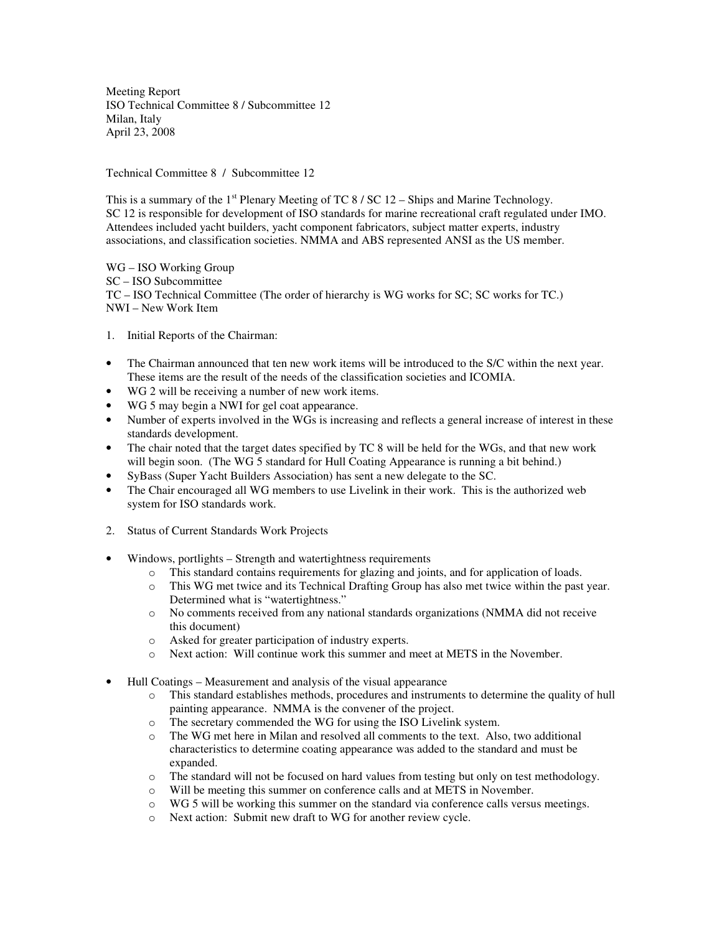Meeting Report ISO Technical Committee 8 / Subcommittee 12 Milan, Italy April 23, 2008

Technical Committee 8 / Subcommittee 12

This is a summary of the  $1<sup>st</sup>$  Plenary Meeting of TC 8 / SC 12 – Ships and Marine Technology. SC 12 is responsible for development of ISO standards for marine recreational craft regulated under IMO. Attendees included yacht builders, yacht component fabricators, subject matter experts, industry associations, and classification societies. NMMA and ABS represented ANSI as the US member.

WG – ISO Working Group SC – ISO Subcommittee TC – ISO Technical Committee (The order of hierarchy is WG works for SC; SC works for TC.) NWI – New Work Item

- 1. Initial Reports of the Chairman:
- The Chairman announced that ten new work items will be introduced to the S/C within the next year. These items are the result of the needs of the classification societies and ICOMIA.
- WG 2 will be receiving a number of new work items.
- WG 5 may begin a NWI for gel coat appearance.
- Number of experts involved in the WGs is increasing and reflects a general increase of interest in these standards development.
- The chair noted that the target dates specified by TC 8 will be held for the WGs, and that new work will begin soon. (The WG 5 standard for Hull Coating Appearance is running a bit behind.)
- SyBass (Super Yacht Builders Association) has sent a new delegate to the SC.
- The Chair encouraged all WG members to use Livelink in their work. This is the authorized web system for ISO standards work.
- 2. Status of Current Standards Work Projects
- Windows, portlights Strength and watertightness requirements
	- o This standard contains requirements for glazing and joints, and for application of loads.
	- o This WG met twice and its Technical Drafting Group has also met twice within the past year. Determined what is "watertightness."
	- o No comments received from any national standards organizations (NMMA did not receive this document)
	- o Asked for greater participation of industry experts.
	- o Next action: Will continue work this summer and meet at METS in the November.
- Hull Coatings Measurement and analysis of the visual appearance
	- o This standard establishes methods, procedures and instruments to determine the quality of hull painting appearance. NMMA is the convener of the project.
	- o The secretary commended the WG for using the ISO Livelink system.
	- o The WG met here in Milan and resolved all comments to the text. Also, two additional characteristics to determine coating appearance was added to the standard and must be expanded.
	- o The standard will not be focused on hard values from testing but only on test methodology.
	- o Will be meeting this summer on conference calls and at METS in November.
	- o WG 5 will be working this summer on the standard via conference calls versus meetings.
	- o Next action: Submit new draft to WG for another review cycle.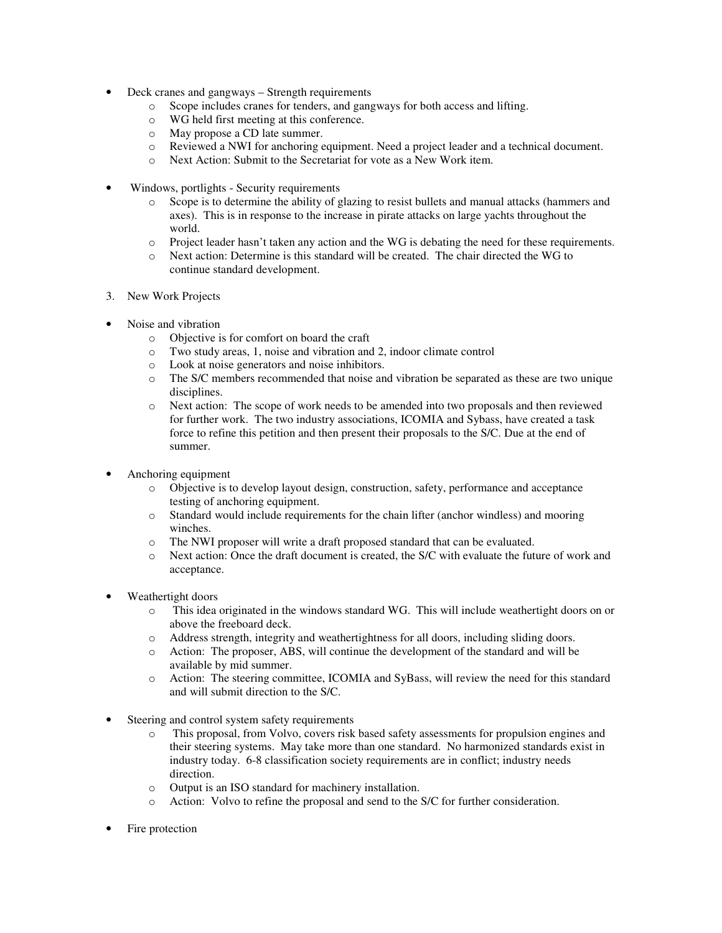- Deck cranes and gangways Strength requirements
	- o Scope includes cranes for tenders, and gangways for both access and lifting.
	- o WG held first meeting at this conference.
	- o May propose a CD late summer.
	- o Reviewed a NWI for anchoring equipment. Need a project leader and a technical document.
	- o Next Action: Submit to the Secretariat for vote as a New Work item.
- Windows, portlights Security requirements
	- o Scope is to determine the ability of glazing to resist bullets and manual attacks (hammers and axes). This is in response to the increase in pirate attacks on large yachts throughout the world.
	- o Project leader hasn't taken any action and the WG is debating the need for these requirements.
	- o Next action: Determine is this standard will be created. The chair directed the WG to continue standard development.
- 3. New Work Projects
- Noise and vibration
	- o Objective is for comfort on board the craft
	- $\circ$  Two study areas, 1, noise and vibration and 2, indoor climate control  $\circ$  Look at noise generators and noise inhibitors.
	- Look at noise generators and noise inhibitors.
	- o The S/C members recommended that noise and vibration be separated as these are two unique disciplines.
	- o Next action: The scope of work needs to be amended into two proposals and then reviewed for further work. The two industry associations, ICOMIA and Sybass, have created a task force to refine this petition and then present their proposals to the S/C. Due at the end of summer.
- Anchoring equipment
	- o Objective is to develop layout design, construction, safety, performance and acceptance testing of anchoring equipment.
	- o Standard would include requirements for the chain lifter (anchor windless) and mooring winches.
	- o The NWI proposer will write a draft proposed standard that can be evaluated.
	- o Next action: Once the draft document is created, the S/C with evaluate the future of work and acceptance.
- Weathertight doors
	- o This idea originated in the windows standard WG. This will include weathertight doors on or above the freeboard deck.
	- o Address strength, integrity and weathertightness for all doors, including sliding doors.
	- o Action: The proposer, ABS, will continue the development of the standard and will be available by mid summer.
	- o Action: The steering committee, ICOMIA and SyBass, will review the need for this standard and will submit direction to the S/C.
- Steering and control system safety requirements
	- o This proposal, from Volvo, covers risk based safety assessments for propulsion engines and their steering systems. May take more than one standard. No harmonized standards exist in industry today. 6-8 classification society requirements are in conflict; industry needs direction.
	- o Output is an ISO standard for machinery installation.
	- o Action: Volvo to refine the proposal and send to the S/C for further consideration.
- Fire protection